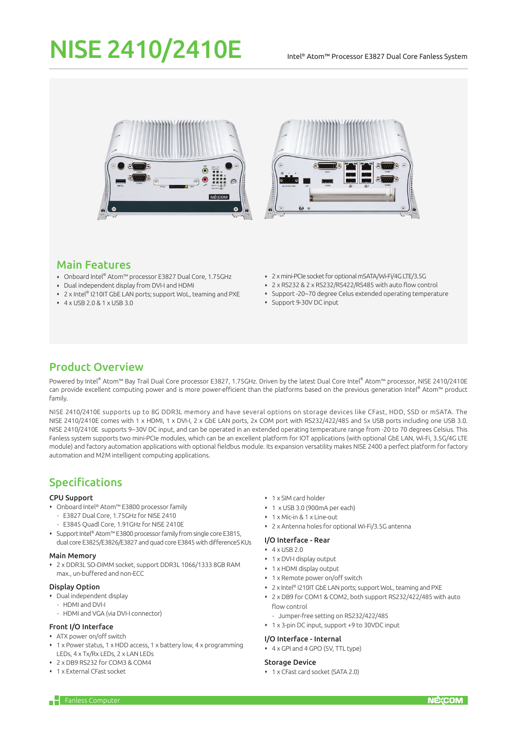# NISE 2410/2410E

#### Intel® Atom™ Processor E3827 Dual Core Fanless System





# Main Features

- Onboard Intel® Atom™ processor E3827 Dual Core, 1.75GHz
- Dual independent display from DVI-I and HDMI
- 2 x Intel® I210IT GbE LAN ports; support WoL, teaming and PXE
- 4 x USB 2.0 & 1 x USB 3.0
- 2 x mini-PCIe socket for optional mSATA/Wi-Fi/4G LTE/3.5G
- 2 x RS232 & 2 x RS232/RS422/RS485 with auto flow control
- Support -20~70 degree Celus extended operating temperature
- Support 9-30V DC input

# Product Overview

Powered by Intel® Atom™ Bay Trail Dual Core processor E3827, 1.75GHz. Driven by the latest Dual Core Intel® Atom™ processor, NISE 2410/2410E can provide excellent computing power and is more power-efficient than the platforms based on the previous generation Intel® Atom™ product family.

NISE 2410/2410E supports up to 8G DDR3L memory and have several options on storage devices like CFast, HDD, SSD or mSATA. The NISE 2410/2410E comes with 1 x HDMI, 1 x DVI-I, 2 x GbE LAN ports, 2x COM port with RS232/422/485 and 5x USB ports including one USB 3.0. NISE 2410/2410E supports 9~30V DC input, and can be operated in an extended operating temperature range from -20 to 70 degrees Celsius. This Fanless system supports two mini-PCIe modules, which can be an excellent platform for IOT applications (with optional GbE LAN, Wi-Fi, 3.5G/4G LTE module) and factory automation applications with optional fieldbus module. Its expansion versatility makes NISE 2400 a perfect platform for factory automation and M2M intelligent computing applications.

# Specifications

## CPU Support

- Onboard Intel® Atom™ E3800 processor family
	- E3827 Dual Core, 1.75GHz for NISE 2410
	- E3845 Quadl Core, 1.91GHz for NISE 2410E
- Support Intel® Atom™ E3800 processor family from single core E3815, dual core E3825/E3826/E3827 and quad core E3845 with differenceS KUs

#### Main Memory

 2 x DDR3L SO-DIMM socket, support DDR3L 1066/1333 8GB RAM max., un-buffered and non-ECC

## Display Option

- Dual independent display
- HDMI and DVI-I
- HDMI and VGA (via DVI-I connector)

#### Front I/O Interface

- ATX power on/off switch
- 1 x Power status, 1 x HDD access, 1 x battery low, 4 x programming LEDs, 4 x Tx/Rx LEDs, 2 x LAN LEDs
- 2 x DB9 RS232 for COM3 & COM4
- 1 x External CFast socket
- 1 x SIM card holder
- 1 x USB 3.0 (900mA per each)
- 1 x Mic-in & 1 x Line-out
- 2 x Antenna holes for optional Wi-Fi/3.5G antenna

## I/O Interface - Rear

- $4 \times IISB20$
- 1 x DVI-I display output
- 1 x HDMI display output
- 1 x Remote power on/off switch
- 2 x Intel® I210IT GbE LAN ports; support WoL, teaming and PXE
- 2 x DB9 for COM1 & COM2, both support RS232/422/485 with auto flow control
- Jumper-free setting on RS232/422/485
- 1 x 3-pin DC input, support +9 to 30VDC input

#### I/O Interface - Internal

4 x GPI and 4 GPO (5V, TTL type)

#### Storage Device

1 x CFast card socket (SATA 2.0)